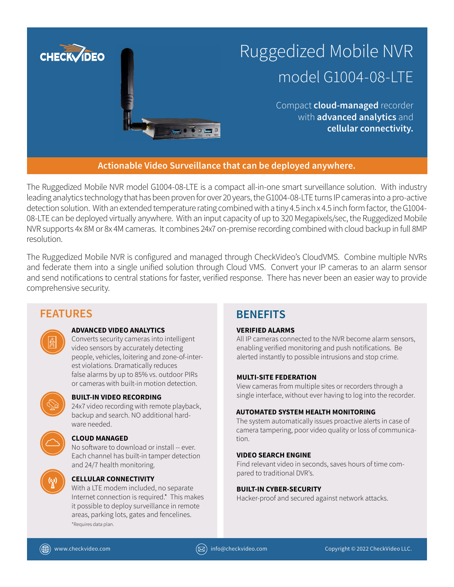

The Ruggedized Mobile NVR model G1004-08-LTE is a compact all-in-one smart surveillance solution. With industry leading analytics technology that has been proven for over 20 years, the G1004-08-LTE turns IP cameras into a pro-active detection solution. With an extended temperature rating combined with a tiny 4.5 inch x 4.5 inch form factor, the G1004- 08-LTE can be deployed virtually anywhere. With an input capacity of up to 320 Megapixels/sec, the Ruggedized Mobile NVR supports 4x 8M or 8x 4M cameras. It combines 24x7 on-premise recording combined with cloud backup in full 8MP resolution.

The Ruggedized Mobile NVR is configured and managed through CheckVideo's CloudVMS. Combine multiple NVRs and federate them into a single unified solution through Cloud VMS. Convert your IP cameras to an alarm sensor and send notifications to central stations for faster, verified response. There has never been an easier way to provide comprehensive security.

# **FEATURES BENEFITS**



# **ADVANCED VIDEO ANALYTICS**

Converts security cameras into intelligent video sensors by accurately detecting people, vehicles, loitering and zone-of-interest violations. Dramatically reduces false alarms by up to 85% vs. outdoor PIRs or cameras with built-in motion detection.



## **BUILT-IN VIDEO RECORDING**

24x7 video recording with remote playback, backup and search. NO additional hardware needed.

# **CLOUD MANAGED**

No software to download or install -- ever. Each channel has built-in tamper detection and 24/7 health monitoring.



# **CELLULAR CONNECTIVITY**

With a LTE modem included, no separate Internet connection is required.\* This makes it possible to deploy surveillance in remote areas, parking lots, gates and fencelines. \*Requires data plan.

# **VERIFIED ALARMS**

All IP cameras connected to the NVR become alarm sensors, enabling verified monitoring and push notifications. Be alerted instantly to possible intrusions and stop crime.

# **MULTI-SITE FEDERATION**

View cameras from multiple sites or recorders through a single interface, without ever having to log into the recorder.

# **AUTOMATED SYSTEM HEALTH MONITORING**

The system automatically issues proactive alerts in case of camera tampering, poor video quality or loss of communication.

# **VIDEO SEARCH ENGINE**

Find relevant video in seconds, saves hours of time compared to traditional DVR's.

# **BUILT-IN CYBER-SECURITY**

Hacker-proof and secured against network attacks.